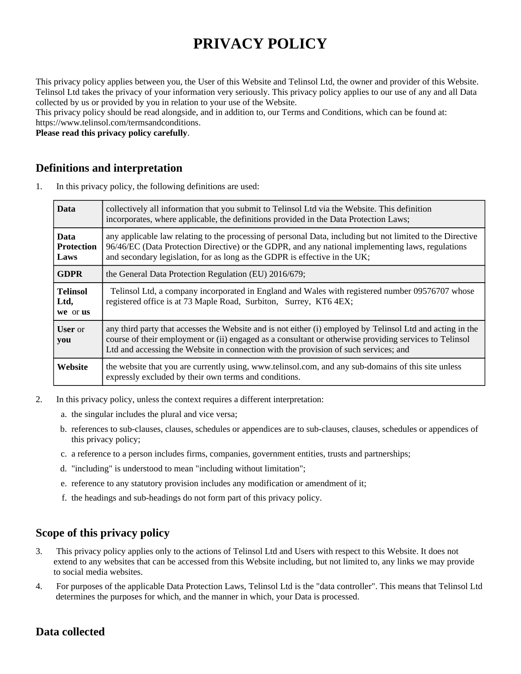# **PRIVACY POLICY**

This privacy policy applies between you, the User of this Website and Telinsol Ltd, the owner and provider of this Website. Telinsol Ltd takes the privacy of your information very seriously. This privacy policy applies to our use of any and all Data collected by us or provided by you in relation to your use of the Website.

This privacy policy should be read alongside, and in addition to, our Terms and Conditions, which can be found at: https://www.telinsol.com/termsandconditions.

**Please read this privacy policy carefully**.

#### **Definitions and interpretation**

1. In this privacy policy, the following definitions are used:

| <b>Data</b>                              | collectively all information that you submit to Telinsol Ltd via the Website. This definition<br>incorporates, where applicable, the definitions provided in the Data Protection Laws;                                                                                                                       |
|------------------------------------------|--------------------------------------------------------------------------------------------------------------------------------------------------------------------------------------------------------------------------------------------------------------------------------------------------------------|
| <b>Data</b><br><b>Protection</b><br>Laws | any applicable law relating to the processing of personal Data, including but not limited to the Directive<br>96/46/EC (Data Protection Directive) or the GDPR, and any national implementing laws, regulations<br>and secondary legislation, for as long as the GDPR is effective in the UK;                |
| <b>GDPR</b>                              | the General Data Protection Regulation (EU) 2016/679;                                                                                                                                                                                                                                                        |
| <b>Telinsol</b><br>Ltd,<br>we or us      | Telinsol Ltd, a company incorporated in England and Wales with registered number 09576707 whose<br>registered office is at 73 Maple Road, Surbiton, Surrey, KT6 4EX;                                                                                                                                         |
| <b>User</b> or<br>you                    | any third party that accesses the Website and is not either (i) employed by Telinsol Ltd and acting in the<br>course of their employment or (ii) engaged as a consultant or otherwise providing services to Telinsol<br>Ltd and accessing the Website in connection with the provision of such services; and |
| Website                                  | the website that you are currently using, www.telinsol.com, and any sub-domains of this site unless<br>expressly excluded by their own terms and conditions.                                                                                                                                                 |

- 2. In this privacy policy, unless the context requires a different interpretation:
	- a. the singular includes the plural and vice versa;
	- b. references to sub-clauses, clauses, schedules or appendices are to sub-clauses, clauses, schedules or appendices of this privacy policy;
	- c. a reference to a person includes firms, companies, government entities, trusts and partnerships;
	- d. "including" is understood to mean "including without limitation";
	- e. reference to any statutory provision includes any modification or amendment of it;
	- f. the headings and sub-headings do not form part of this privacy policy.

# **Scope of this privacy policy**

- 3. This privacy policy applies only to the actions of Telinsol Ltd and Users with respect to this Website. It does not extend to any websites that can be accessed from this Website including, but not limited to, any links we may provide to social media websites.
- 4. For purposes of the applicable Data Protection Laws, Telinsol Ltd is the "data controller". This means that Telinsol Ltd determines the purposes for which, and the manner in which, your Data is processed.

# **Data collected**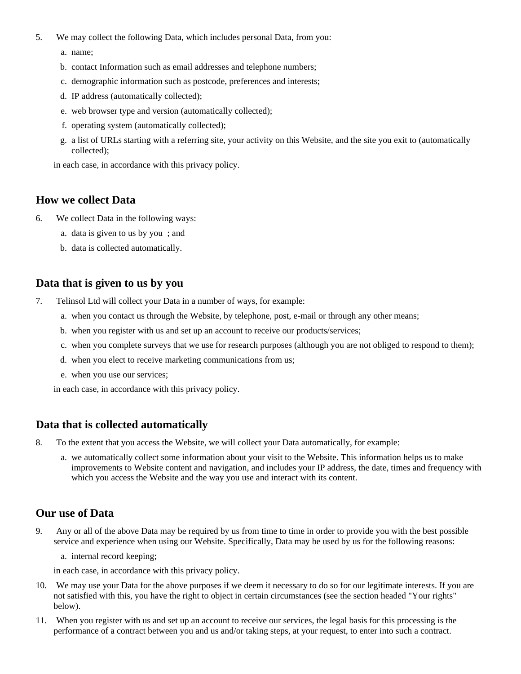- 5. We may collect the following Data, which includes personal Data, from you:
	- a. name;
	- b. contact Information such as email addresses and telephone numbers;
	- c. demographic information such as postcode, preferences and interests;
	- d. IP address (automatically collected);
	- e. web browser type and version (automatically collected);
	- f. operating system (automatically collected);
	- g. a list of URLs starting with a referring site, your activity on this Website, and the site you exit to (automatically collected);

in each case, in accordance with this privacy policy.

#### **How we collect Data**

- 6. We collect Data in the following ways:
	- a. data is given to us by you ; and
	- b. data is collected automatically.

#### **Data that is given to us by you**

- 7. Telinsol Ltd will collect your Data in a number of ways, for example:
	- a. when you contact us through the Website, by telephone, post, e-mail or through any other means;
	- b. when you register with us and set up an account to receive our products/services;
	- c. when you complete surveys that we use for research purposes (although you are not obliged to respond to them);
	- d. when you elect to receive marketing communications from us;
	- e. when you use our services;

in each case, in accordance with this privacy policy.

#### **Data that is collected automatically**

- 8. To the extent that you access the Website, we will collect your Data automatically, for example:
	- a. we automatically collect some information about your visit to the Website. This information helps us to make improvements to Website content and navigation, and includes your IP address, the date, times and frequency with which you access the Website and the way you use and interact with its content.

#### **Our use of Data**

- 9. Any or all of the above Data may be required by us from time to time in order to provide you with the best possible service and experience when using our Website. Specifically, Data may be used by us for the following reasons:
	- a. internal record keeping;

in each case, in accordance with this privacy policy.

- 10. We may use your Data for the above purposes if we deem it necessary to do so for our legitimate interests. If you are not satisfied with this, you have the right to object in certain circumstances (see the section headed "Your rights" below).
- 11. When you register with us and set up an account to receive our services, the legal basis for this processing is the performance of a contract between you and us and/or taking steps, at your request, to enter into such a contract.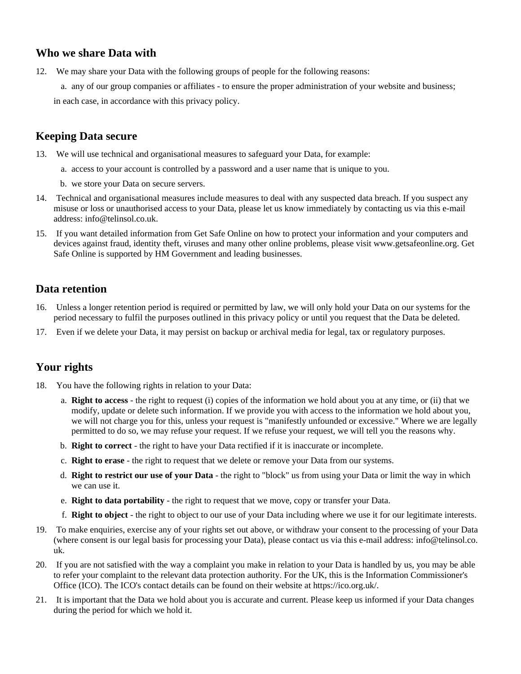# **Who we share Data with**

12. We may share your Data with the following groups of people for the following reasons:

a. any of our group companies or affiliates - to ensure the proper administration of your website and business; in each case, in accordance with this privacy policy.

# **Keeping Data secure**

- 13. We will use technical and organisational measures to safeguard your Data, for example:
	- a. access to your account is controlled by a password and a user name that is unique to you.
	- b. we store your Data on secure servers.
- 14. Technical and organisational measures include measures to deal with any suspected data breach. If you suspect any misuse or loss or unauthorised access to your Data, please let us know immediately by contacting us via this e-mail address: info@telinsol.co.uk.
- 15. If you want detailed information from Get Safe Online on how to protect your information and your computers and devices against fraud, identity theft, viruses and many other online problems, please visit www.getsafeonline.org. Get Safe Online is supported by HM Government and leading businesses.

## **Data retention**

- 16. Unless a longer retention period is required or permitted by law, we will only hold your Data on our systems for the period necessary to fulfil the purposes outlined in this privacy policy or until you request that the Data be deleted.
- 17. Even if we delete your Data, it may persist on backup or archival media for legal, tax or regulatory purposes.

## **Your rights**

- 18. You have the following rights in relation to your Data:
	- a. **Right to access** the right to request (i) copies of the information we hold about you at any time, or (ii) that we modify, update or delete such information. If we provide you with access to the information we hold about you, we will not charge you for this, unless your request is "manifestly unfounded or excessive." Where we are legally permitted to do so, we may refuse your request. If we refuse your request, we will tell you the reasons why.
	- b. **Right to correct** the right to have your Data rectified if it is inaccurate or incomplete.
	- c. **Right to erase** the right to request that we delete or remove your Data from our systems.
	- d. **Right to restrict our use of your Data** the right to "block" us from using your Data or limit the way in which we can use it.
	- e. **Right to data portability** the right to request that we move, copy or transfer your Data.
	- f. **Right to object** the right to object to our use of your Data including where we use it for our legitimate interests.
- 19. To make enquiries, exercise any of your rights set out above, or withdraw your consent to the processing of your Data (where consent is our legal basis for processing your Data), please contact us via this e-mail address: info@telinsol.co. uk.
- 20. If you are not satisfied with the way a complaint you make in relation to your Data is handled by us, you may be able to refer your complaint to the relevant data protection authority. For the UK, this is the Information Commissioner's Office (ICO). The ICO's contact details can be found on their website at https://ico.org.uk/.
- 21. It is important that the Data we hold about you is accurate and current. Please keep us informed if your Data changes during the period for which we hold it.